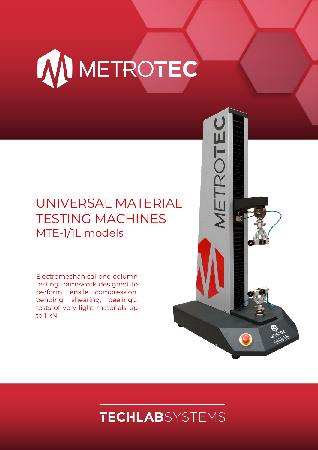

## UNIVERSAL MATERIAL TESTING MACHINES MTE-1/1L models

Electromechanical one column testing framework designed to perform tensile, compression, bending, shearing, peeling..., tests of very light materials up to 1 kN



# **TECHLAB**SYSTEMS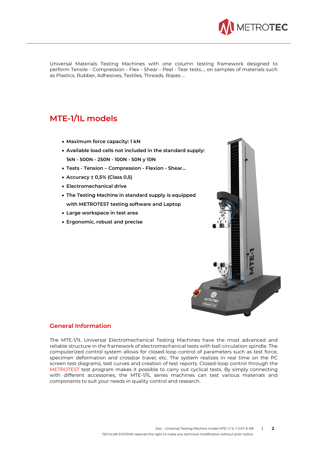

Universal Materials Testing Machines with one column testing framework designed to perform Tensile - Compression - Flex - Shear - Peel - Tear tests..., on samples of materials such as Plastics, Rubber, Adhesives, Textiles, Threads, Ropes ...

## **MTE-1/1L models**

- **Maximum force capacity: 1 kN**
- **Available load cells not included in the standard supply: 1kN - 500N - 250N - 100N - 50N y 10N**
- **Tests - Tension – Compression - Flexion - Shear...**
- **Accuracy ± 0,5% (Class 0,5)**
- **Electromechanical drive**
- **The Testing Machine in standard supply is equipped with METROTEST testing software and Laptop**
- **Large workspace in test area**
- **Ergonomic, robust and precise**



## **General Information**

The MTE-1/1L Universal Electromechanical Testing Machines have the most advanced and reliable structure in the framework of electromechanical tests with ball circulation spindle. The computerized control system allows for closed-loop control of parameters such as test force, specimen deformation and crossbar travel, etc. The system realizes in real time on the PC screen test diagrams, test curves and creation of test reports. Closed-loop control through the METROTEST test program makes it possible to carry out cyclical tests. By simply connecting with different accessories, the MTE-1/1L series machines can test various materials and components to suit your needs in quality control and research.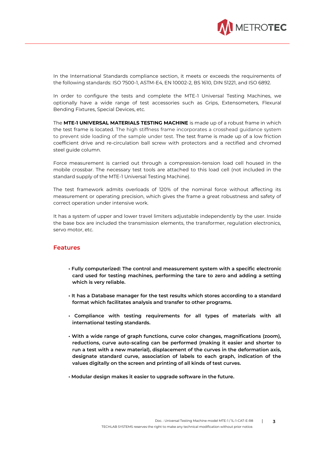

In the International Standards compliance section, it meets or exceeds the requirements of the following standards: ISO 7500-1, ASTM-E4, EN 10002-2, BS 1610, DIN 51221, and ISO 6892.

In order to configure the tests and complete the MTE-1 Universal Testing Machines, we optionally have a wide range of test accessories such as Grips, Extensometers, Flexural Bending Fixtures, Special Devices, etc.

The **MTE-1 UNIVERSAL MATERIALS TESTING MACHINE** is made up of a robust frame in which the test frame is located. The high stiffness frame incorporates a crosshead guidance system to prevent side loading of the sample under test. The test frame is made up of a low friction coefficient drive and re-circulation ball screw with protectors and a rectified and chromed steel guide column.

Force measurement is carried out through a compression-tension load cell housed in the mobile crossbar. The necessary test tools are attached to this load cell (not included in the standard supply of the MTE-1 Universal Testing Machine).

The test framework admits overloads of 120% of the nominal force without affecting its measurement or operating precision, which gives the frame a great robustness and safety of correct operation under intensive work.

It has a system of upper and lower travel limiters adjustable independently by the user. Inside the base box are included the transmission elements, the transformer, regulation electronics, servo motor, etc.

## **Features**

- **Fully computerized: The control and measurement system with a specific electronic card used for testing machines, performing the tare to zero and adding a setting which is very reliable.**
- **It has a Database manager for the test results which stores according to a standard format which facilitates analysis and transfer to other programs.**
- **Compliance with testing requirements for all types of materials with all international testing standards.**
- **With a wide range of graph functions, curve color changes, magnifications (zoom), reductions, curve auto-scaling can be performed (making it easier and shorter to run a test with a new material), displacement of the curves in the deformation axis, designate standard curve, association of labels to each graph, indication of the values digitally on the screen and printing of all kinds of test curves.**
- **Modular design makes it easier to upgrade software in the future.**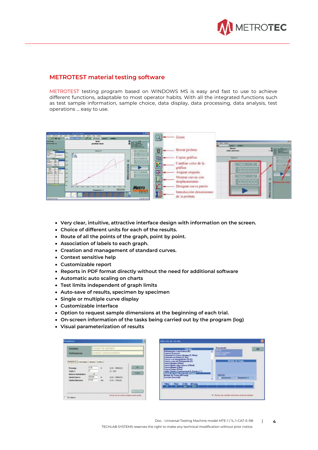

## **METROTEST material testing software**

METROTEST testing program based on WINDOWS MS is easy and fast to use to achieve different functions, adaptable to most operator habits. With all the integrated functions such as test sample information, sample choice, data display, data processing, data analysis, test operations ... easy to use.

|                                                                                                                                                                                                                                                                                                                                                                                                                                                                                                                | Martinha: DATA HANN, 20, 6, 47, 1925). TRACCKIN STANDAL | 切布像                          |               |                          |                  |                 |
|----------------------------------------------------------------------------------------------------------------------------------------------------------------------------------------------------------------------------------------------------------------------------------------------------------------------------------------------------------------------------------------------------------------------------------------------------------------------------------------------------------------|---------------------------------------------------------|------------------------------|---------------|--------------------------|------------------|-----------------|
| Collansini                                                                                                                                                                                                                                                                                                                                                                                                                                                                                                     | <b>Januar Classican</b>                                 |                              | $\bullet$     | <b><i>LOOHT</i></b>      |                  |                 |
| 0.0000                                                                                                                                                                                                                                                                                                                                                                                                                                                                                                         | 8.00 am/air.<br><b>MAINER</b><br><b>SAL</b>             |                              |               |                          |                  |                 |
| <b>Informe</b>                                                                                                                                                                                                                                                                                                                                                                                                                                                                                                 | laser                                                   |                              |               |                          |                  | $-0.001$        |
| <i><u>meferencia</u></i>                                                                                                                                                                                                                                                                                                                                                                                                                                                                                       | pruebas laser                                           |                              |               |                          | <b>THE ROOM</b>  |                 |
|                                                                                                                                                                                                                                                                                                                                                                                                                                                                                                                |                                                         | <b>Fillett</b>               |               |                          |                  |                 |
|                                                                                                                                                                                                                                                                                                                                                                                                                                                                                                                |                                                         |                              |               |                          |                  |                 |
| <b><i><u>PRODUCTS</u></i></b><br><b>Autors</b>                                                                                                                                                                                                                                                                                                                                                                                                                                                                 | Fuerza N                                                | <b>NELL' THE READS</b>       | $\vec{0}$     | Borrar probeta           |                  | THE             |
| <b>Higgsta</b>                                                                                                                                                                                                                                                                                                                                                                                                                                                                                                 |                                                         | $-0.10000$                   |               |                          |                  |                 |
| <b>Parterpilar</b>                                                                                                                                                                                                                                                                                                                                                                                                                                                                                             | Ē.<br>M.M.                                              |                              |               |                          |                  |                 |
|                                                                                                                                                                                                                                                                                                                                                                                                                                                                                                                |                                                         | 宮に語                          | EB            | Copiar gráfica           | <b>Teacher M</b> |                 |
| $\begin{array}{c c c c} \hline & \text{amass} & \text{mod} \\ \hline \multicolumn{3}{c }{\text{comass}} & \multicolumn{3}{c}{\text{mod}} \\ \multicolumn{3}{c}{\text{comass}} & \multicolumn{3}{c}{\text{comass}} \\ \hline \multicolumn{3}{c}{\text{comass}} & \multicolumn{3}{c}{\text{comass}} \\ \hline \multicolumn{3}{c}{\text{comass}} & \multicolumn{3}{c}{\text{comass}} \\ \hline \multicolumn{3}{c}{\text{comass}} & \multicolumn{3}{c}{\text{comass}} \\ \hline \multicolumn{3}{c}{\text{comass}}$ |                                                         | accoco                       |               |                          |                  |                 |
| <b>SALCTON MAIL</b>                                                                                                                                                                                                                                                                                                                                                                                                                                                                                            |                                                         |                              | ÷             | Cambiar color de la      |                  |                 |
| <b><i>ARRISTMENT</i></b>                                                                                                                                                                                                                                                                                                                                                                                                                                                                                       | to an                                                   |                              |               |                          |                  |                 |
|                                                                                                                                                                                                                                                                                                                                                                                                                                                                                                                |                                                         |                              |               | gráfica                  | <b>His alth</b>  |                 |
| $rac{19.01}{8.875}$<br>$44 - 4$                                                                                                                                                                                                                                                                                                                                                                                                                                                                                |                                                         | THE REC. ESS                 |               | Asignar etiqueta         |                  |                 |
| Terr.<br><b>Writing</b><br>LLC                                                                                                                                                                                                                                                                                                                                                                                                                                                                                 | ALM .                                                   |                              | Œ             |                          |                  |                 |
|                                                                                                                                                                                                                                                                                                                                                                                                                                                                                                                | $\overline{a}$                                          | 000000                       | <b>Carl I</b> | Mostrar curvas con       |                  |                 |
|                                                                                                                                                                                                                                                                                                                                                                                                                                                                                                                |                                                         |                              |               |                          |                  | ш               |
|                                                                                                                                                                                                                                                                                                                                                                                                                                                                                                                |                                                         |                              |               | desplazamiento           | anaca            | <b>CONTRACT</b> |
|                                                                                                                                                                                                                                                                                                                                                                                                                                                                                                                |                                                         |                              |               |                          |                  |                 |
|                                                                                                                                                                                                                                                                                                                                                                                                                                                                                                                | <br>$-$                                                 | <b>Metro</b>                 |               | Designar curva patron    |                  |                 |
|                                                                                                                                                                                                                                                                                                                                                                                                                                                                                                                | $-14181$<br>Alargamients %                              |                              |               |                          |                  |                 |
|                                                                                                                                                                                                                                                                                                                                                                                                                                                                                                                |                                                         | iesi                         |               | Introducción dimensiones |                  |                 |
|                                                                                                                                                                                                                                                                                                                                                                                                                                                                                                                |                                                         |                              |               |                          |                  |                 |
|                                                                                                                                                                                                                                                                                                                                                                                                                                                                                                                |                                                         |                              |               | de la probeta            |                  | Ð               |
| Passakossessa                                                                                                                                                                                                                                                                                                                                                                                                                                                                                                  |                                                         | <b><i>BIRMARY 10 ALD</i></b> |               |                          |                  |                 |

- **Very clear, intuitive, attractive interface design with information on the screen.**
- **Choice of different units for each of the results.**
- **Route of all the points of the graph, point by point.**
- **Association of labels to each graph.**
- **Creation and management of standard curves.**
- **Context sensitive help**
- **Customizable report**
- **Reports in PDF format directly without the need for additional software**
- **Automatic auto scaling on charts**
- **Test limits independent of graph limits**
- **Auto-save of results, specimen by specimen**
- **Single or multiple curve display**
- **Customizable interface**
- **Option to request sample dimensions at the beginning of each trial.**
- **On-screen information of the tasks being carried out by the program (log)**
- **Visual parameterization of results**

| <b>Informe</b>                                                                                                                                 |                                     | Ensayo de ejemplo      |                                                                                 |                                      |  |  |
|------------------------------------------------------------------------------------------------------------------------------------------------|-------------------------------------|------------------------|---------------------------------------------------------------------------------|--------------------------------------|--|--|
| Referencia                                                                                                                                     |                                     | cittomozonata asidound |                                                                                 |                                      |  |  |
| Parametros Velocidades Calculto Cratica<br>Procarga<br>Caida %<br><b>Betorns Automatico</b><br><b>Limite Fuerza</b><br><b>Limite Estension</b> | (1,00)<br>5<br>σ<br>600.00<br>00,00 | ŵ<br>fs:<br><b>Has</b> | $(0.02 - 50030.001)$<br>$(0 - 100)$<br>(9.00 - 50030,00)<br>$(0.00 - 1000.001)$ | <b>DK</b><br>Cusal<br><b>Tarming</b> |  |  |

|                                                                                                                                                                                                                                                                                                                                                                                                                                                                                    |            | <b>Cálculos</b>   |                                                                                  | <b>Descripción</b> |                |  | ON |
|------------------------------------------------------------------------------------------------------------------------------------------------------------------------------------------------------------------------------------------------------------------------------------------------------------------------------------------------------------------------------------------------------------------------------------------------------------------------------------|------------|-------------------|----------------------------------------------------------------------------------|--------------------|----------------|--|----|
| Deformacion a una Fuerza (D)<br>Expesor (Expense)<br>Extension En Fuerza Masina (E.FMas)<br>Extension en Flotura (E.Brk)<br>Fuecza a un Alarganiento (2) IF<br>Fuecza a una de Deformación B<br><b>Fuerza Maxima (FMax)</b><br><b>Fuecza Modia entre marcas (Fided)</b><br><b>Fuerza Minima (FMin)</b><br><b>Fuecca Rotura (FRot)</b><br>Limite Election Convencional (L. Election C.)<br>Module de Young ISO 527 (MYsung)<br>Module de Young (MYoung)<br><b>Seccion (Seccion)</b> |            |                   | IGD 522<br>Norver Graciation<br><b>ENNANT BURSET :</b><br><b>Module de Young</b> |                    |                |  |    |
|                                                                                                                                                                                                                                                                                                                                                                                                                                                                                    |            |                   | <b>Utiliza Eje</b><br><b>Defension</b>                                           |                    | - Abroarismo 3 |  |    |
| <b>FMas</b>                                                                                                                                                                                                                                                                                                                                                                                                                                                                        | Fflot<br>м | E.Bdc<br>$\cdots$ | <b>MY</b> oung<br>MP <sub>*</sub>                                                |                    |                |  |    |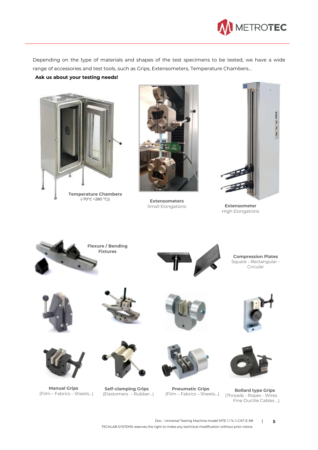

Depending on the type of materials and shapes of the test specimens to be tested, we have a wide range of accessories and test tools, such as Grips, Extensometers, Temperature Chambers...

**Ask us about your testing needs!**



(-70ºC +280 ºC))



**Extensometers** Small Elongations



**Extensometer** High Elongations



Doc. : Universal Testing Machine model MTE-1 / 1L-1-CAT-E-R8 | **5** TECHLAB SYSTEMS reserves the right to make any technical modification without prior notice.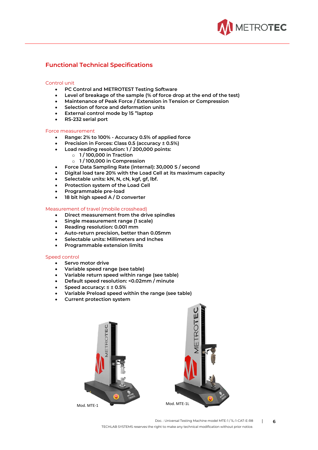

## **Functional Technical Specifications**

### Control unit

- **PC Control and METROTEST Testing Software**
- **Level of breakage of the sample (% of force drop at the end of the test)**
- **Maintenance of Peak Force / Extension in Tension or Compression**
- **Selection of force and deformation units**
- **External control mode by 15 "laptop**
- **RS-232 serial port**

#### Force measurement

- **Range: 2% to 100% - Accuracy 0.5% of applied force**
- **Precision in Forces: Class 0.5 (accuracy ± 0.5%)**
- **Load reading resolution: 1 / 200,000 points:**
	- o **1 / 100,000 in Traction**
	- o **1 / 100,000 in Compression**
- **Force Data Sampling Rate (internal): 30,000 S / second**
- **Digital load tare 20% with the Load Cell at its maximum capacity**
- **Selectable units: kN, N, cN, kgf, gf, lbf.**
- **Protection system of the Load Cell**
- **Programmable pre-load**
- **18 bit high speed A / D converter**

### Measurement of travel (mobile crosshead)

- **Direct measurement from the drive spindles**
- **Single measurement range (1 scale)**
- **Reading resolution: 0.001 mm**
- **Auto-return precision, better than 0.05mm**
- **Selectable units: Millimeters and Inches**
- **Programmable extension limits**

#### Speed control

- **Servo motor drive**
- **Variable speed range (see table)**
- **Variable return speed within range (see table)**
- **Default speed resolution: <0.02mm / minute**
- **Speed accuracy: ≤ ± 0.5%**
- **Variable Preload speed within the range (see table)**
- **Current protection system**



Doc. : Universal Testing Machine model MTE-1 / 1L-1-CAT-E-R8 | **6** TECHLAB SYSTEMS reserves the right to make any technical modification without prior notice.